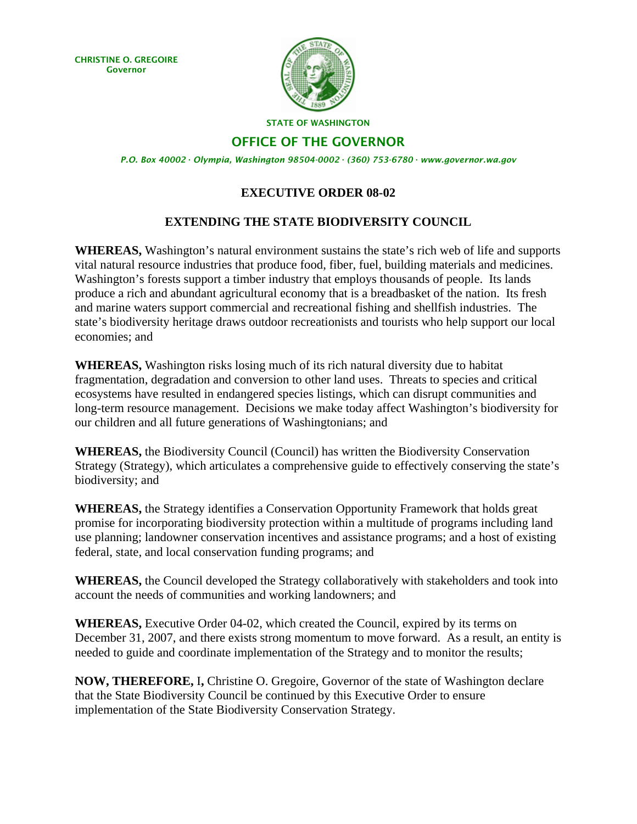CHRISTINE O. GREGOIRE Governor



STATE OF WASHINGTON

OFFICE OF THE GOVERNOR

*P.O. Box 40002 · Olympia, Washington 98504-0002 · (360) 753-6780 · www.governor.wa.gov* 

## **EXECUTIVE ORDER 08-02**

## **EXTENDING THE STATE BIODIVERSITY COUNCIL**

**WHEREAS,** Washington's natural environment sustains the state's rich web of life and supports vital natural resource industries that produce food, fiber, fuel, building materials and medicines. Washington's forests support a timber industry that employs thousands of people. Its lands produce a rich and abundant agricultural economy that is a breadbasket of the nation. Its fresh and marine waters support commercial and recreational fishing and shellfish industries. The state's biodiversity heritage draws outdoor recreationists and tourists who help support our local economies; and

**WHEREAS,** Washington risks losing much of its rich natural diversity due to habitat fragmentation, degradation and conversion to other land uses. Threats to species and critical ecosystems have resulted in endangered species listings, which can disrupt communities and long-term resource management. Decisions we make today affect Washington's biodiversity for our children and all future generations of Washingtonians; and

**WHEREAS,** the Biodiversity Council (Council) has written the Biodiversity Conservation Strategy (Strategy), which articulates a comprehensive guide to effectively conserving the state's biodiversity; and

**WHEREAS,** the Strategy identifies a Conservation Opportunity Framework that holds great promise for incorporating biodiversity protection within a multitude of programs including land use planning; landowner conservation incentives and assistance programs; and a host of existing federal, state, and local conservation funding programs; and

**WHEREAS,** the Council developed the Strategy collaboratively with stakeholders and took into account the needs of communities and working landowners; and

**WHEREAS,** Executive Order 04-02, which created the Council, expired by its terms on December 31, 2007, and there exists strong momentum to move forward. As a result, an entity is needed to guide and coordinate implementation of the Strategy and to monitor the results;

**NOW, THEREFORE,** I**,** Christine O. Gregoire, Governor of the state of Washington declare that the State Biodiversity Council be continued by this Executive Order to ensure implementation of the State Biodiversity Conservation Strategy.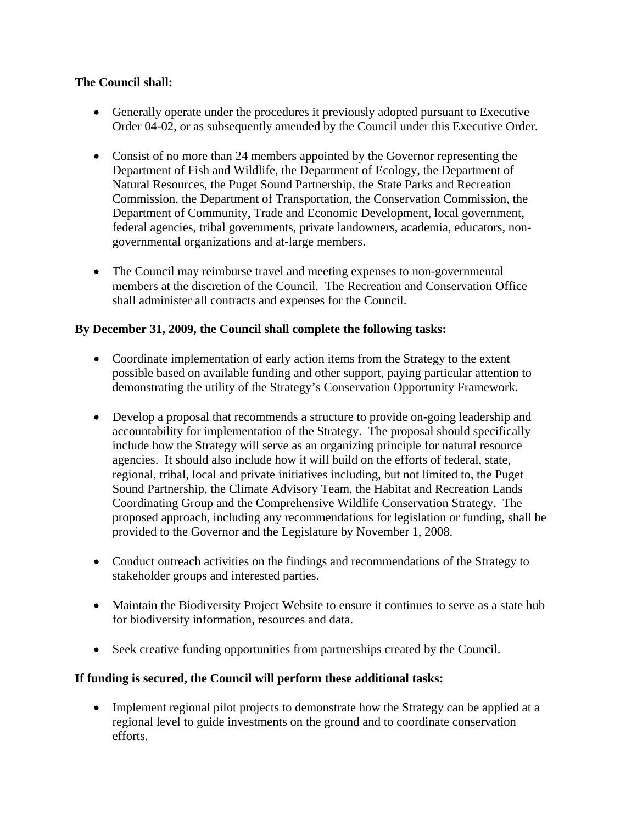## **The Council shall:**

- Generally operate under the procedures it previously adopted pursuant to Executive Order 04-02, or as subsequently amended by the Council under this Executive Order.
- Consist of no more than 24 members appointed by the Governor representing the Department of Fish and Wildlife, the Department of Ecology, the Department of Natural Resources, the Puget Sound Partnership, the State Parks and Recreation Commission, the Department of Transportation, the Conservation Commission, the Department of Community, Trade and Economic Development, local government, federal agencies, tribal governments, private landowners, academia, educators, nongovernmental organizations and at-large members.
- The Council may reimburse travel and meeting expenses to non-governmental members at the discretion of the Council. The Recreation and Conservation Office shall administer all contracts and expenses for the Council.

# **By December 31, 2009, the Council shall complete the following tasks:**

- Coordinate implementation of early action items from the Strategy to the extent possible based on available funding and other support, paying particular attention to demonstrating the utility of the Strategy's Conservation Opportunity Framework.
- Develop a proposal that recommends a structure to provide on-going leadership and accountability for implementation of the Strategy. The proposal should specifically include how the Strategy will serve as an organizing principle for natural resource agencies. It should also include how it will build on the efforts of federal, state, regional, tribal, local and private initiatives including, but not limited to, the Puget Sound Partnership, the Climate Advisory Team, the Habitat and Recreation Lands Coordinating Group and the Comprehensive Wildlife Conservation Strategy. The proposed approach, including any recommendations for legislation or funding, shall be provided to the Governor and the Legislature by November 1, 2008.
- Conduct outreach activities on the findings and recommendations of the Strategy to stakeholder groups and interested parties.
- Maintain the Biodiversity Project Website to ensure it continues to serve as a state hub for biodiversity information, resources and data.
- Seek creative funding opportunities from partnerships created by the Council.

## **If funding is secured, the Council will perform these additional tasks:**

• Implement regional pilot projects to demonstrate how the Strategy can be applied at a regional level to guide investments on the ground and to coordinate conservation efforts.